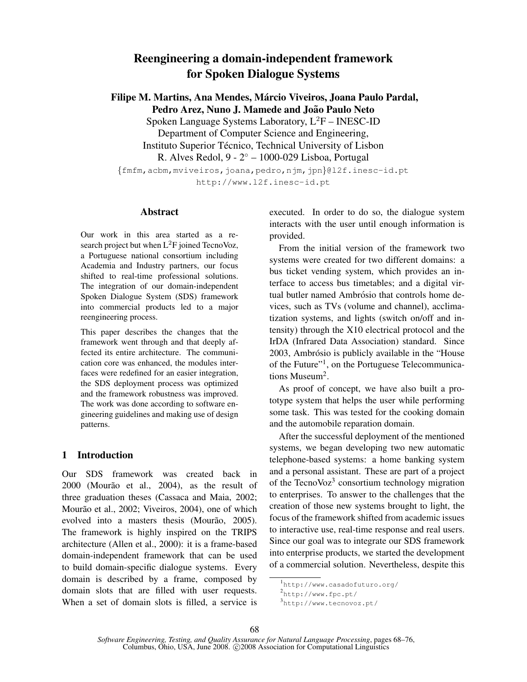# Reengineering a domain-independent framework for Spoken Dialogue Systems

Filipe M. Martins, Ana Mendes, Márcio Viveiros, Joana Paulo Pardal, Pedro Arez, Nuno J. Mamede and João Paulo Neto

Spoken Language Systems Laboratory,  $L^2F$  – INESC-ID

Department of Computer Science and Engineering, Instituto Superior Técnico, Technical University of Lisbon

R. Alves Redol, 9 - 2◦ – 1000-029 Lisboa, Portugal

{fmfm,acbm,mviveiros,joana,pedro,njm,jpn}@l2f.inesc-id.pt http://www.l2f.inesc-id.pt

# Abstract

Our work in this area started as a research project but when  $L^2F$  joined TecnoVoz, a Portuguese national consortium including Academia and Industry partners, our focus shifted to real-time professional solutions. The integration of our domain-independent Spoken Dialogue System (SDS) framework into commercial products led to a major reengineering process.

This paper describes the changes that the framework went through and that deeply affected its entire architecture. The communication core was enhanced, the modules interfaces were redefined for an easier integration, the SDS deployment process was optimized and the framework robustness was improved. The work was done according to software engineering guidelines and making use of design patterns.

# 1 Introduction

Our SDS framework was created back in  $2000$  (Mourão et al.,  $2004$ ), as the result of three graduation theses (Cassaca and Maia, 2002; Mourão et al., 2002; Viveiros, 2004), one of which evolved into a masters thesis (Mourão, 2005). The framework is highly inspired on the TRIPS architecture (Allen et al., 2000): it is a frame-based domain-independent framework that can be used to build domain-specific dialogue systems. Every domain is described by a frame, composed by domain slots that are filled with user requests. When a set of domain slots is filled, a service is executed. In order to do so, the dialogue system interacts with the user until enough information is provided.

From the initial version of the framework two systems were created for two different domains: a bus ticket vending system, which provides an interface to access bus timetables; and a digital virtual butler named Ambrósio that controls home devices, such as TVs (volume and channel), acclimatization systems, and lights (switch on/off and intensity) through the X10 electrical protocol and the IrDA (Infrared Data Association) standard. Since 2003, Ambrósio is publicly available in the "House" of the Future"<sup>1</sup>, on the Portuguese Telecommunications Museum<sup>2</sup>.

As proof of concept, we have also built a prototype system that helps the user while performing some task. This was tested for the cooking domain and the automobile reparation domain.

After the successful deployment of the mentioned systems, we began developing two new automatic telephone-based systems: a home banking system and a personal assistant. These are part of a project of the TecnoVoz<sup>3</sup> consortium technology migration to enterprises. To answer to the challenges that the creation of those new systems brought to light, the focus of the framework shifted from academic issues to interactive use, real-time response and real users. Since our goal was to integrate our SDS framework into enterprise products, we started the development of a commercial solution. Nevertheless, despite this

<sup>1</sup> http://www.casadofuturo.org/

<sup>2</sup>http://www.fpc.pt/

<sup>3</sup> http://www.tecnovoz.pt/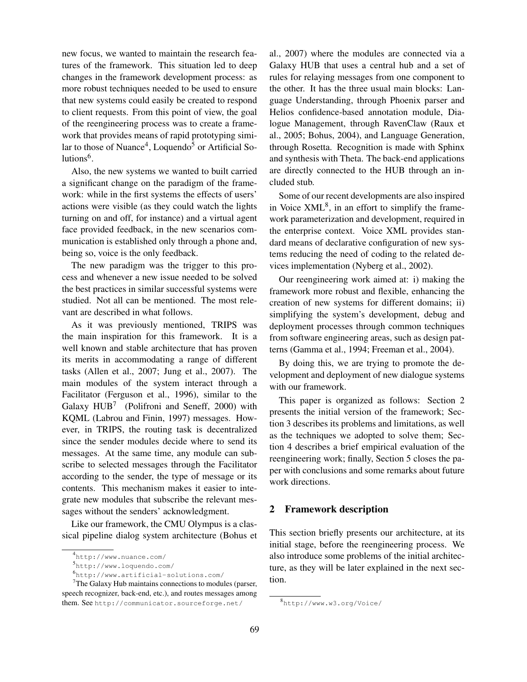new focus, we wanted to maintain the research features of the framework. This situation led to deep changes in the framework development process: as more robust techniques needed to be used to ensure that new systems could easily be created to respond to client requests. From this point of view, the goal of the reengineering process was to create a framework that provides means of rapid prototyping similar to those of Nuance<sup>4</sup>, Loquendo<sup>5</sup> or Artificial Solutions<sup>6</sup>.

Also, the new systems we wanted to built carried a significant change on the paradigm of the framework: while in the first systems the effects of users' actions were visible (as they could watch the lights turning on and off, for instance) and a virtual agent face provided feedback, in the new scenarios communication is established only through a phone and, being so, voice is the only feedback.

The new paradigm was the trigger to this process and whenever a new issue needed to be solved the best practices in similar successful systems were studied. Not all can be mentioned. The most relevant are described in what follows.

As it was previously mentioned, TRIPS was the main inspiration for this framework. It is a well known and stable architecture that has proven its merits in accommodating a range of different tasks (Allen et al., 2007; Jung et al., 2007). The main modules of the system interact through a Facilitator (Ferguson et al., 1996), similar to the Galaxy  $HUB<sup>7</sup>$  (Polifroni and Seneff, 2000) with KQML (Labrou and Finin, 1997) messages. However, in TRIPS, the routing task is decentralized since the sender modules decide where to send its messages. At the same time, any module can subscribe to selected messages through the Facilitator according to the sender, the type of message or its contents. This mechanism makes it easier to integrate new modules that subscribe the relevant messages without the senders' acknowledgment.

Like our framework, the CMU Olympus is a classical pipeline dialog system architecture (Bohus et al., 2007) where the modules are connected via a Galaxy HUB that uses a central hub and a set of rules for relaying messages from one component to the other. It has the three usual main blocks: Language Understanding, through Phoenix parser and Helios confidence-based annotation module, Dialogue Management, through RavenClaw (Raux et al., 2005; Bohus, 2004), and Language Generation, through Rosetta. Recognition is made with Sphinx and synthesis with Theta. The back-end applications are directly connected to the HUB through an included stub.

Some of our recent developments are also inspired in Voice  $XML<sup>8</sup>$ , in an effort to simplify the framework parameterization and development, required in the enterprise context. Voice XML provides standard means of declarative configuration of new systems reducing the need of coding to the related devices implementation (Nyberg et al., 2002).

Our reengineering work aimed at: i) making the framework more robust and flexible, enhancing the creation of new systems for different domains; ii) simplifying the system's development, debug and deployment processes through common techniques from software engineering areas, such as design patterns (Gamma et al., 1994; Freeman et al., 2004).

By doing this, we are trying to promote the development and deployment of new dialogue systems with our framework.

This paper is organized as follows: Section 2 presents the initial version of the framework; Section 3 describes its problems and limitations, as well as the techniques we adopted to solve them; Section 4 describes a brief empirical evaluation of the reengineering work; finally, Section 5 closes the paper with conclusions and some remarks about future work directions.

### 2 Framework description

This section briefly presents our architecture, at its initial stage, before the reengineering process. We also introduce some problems of the initial architecture, as they will be later explained in the next section.

<sup>4</sup> http://www.nuance.com/

<sup>5</sup> http://www.loquendo.com/

<sup>6</sup> http://www.artificial-solutions.com/

 $<sup>7</sup>$ The Galaxy Hub maintains connections to modules (parser,</sup> speech recognizer, back-end, etc.), and routes messages among them. See http://communicator.sourceforge.net/

<sup>8</sup> http://www.w3.org/Voice/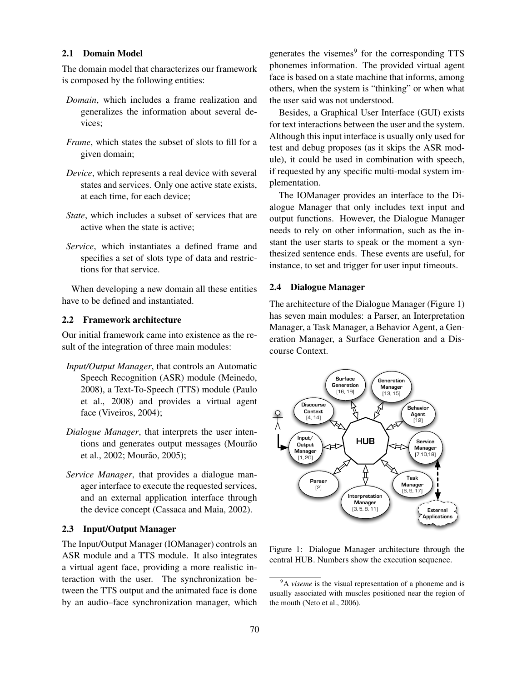#### 2.1 Domain Model

The domain model that characterizes our framework is composed by the following entities:

- *Domain*, which includes a frame realization and generalizes the information about several devices;
- *Frame*, which states the subset of slots to fill for a given domain;
- *Device*, which represents a real device with several states and services. Only one active state exists, at each time, for each device;
- *State*, which includes a subset of services that are active when the state is active;
- *Service*, which instantiates a defined frame and specifies a set of slots type of data and restrictions for that service.

When developing a new domain all these entities have to be defined and instantiated.

# 2.2 Framework architecture

Our initial framework came into existence as the result of the integration of three main modules:

- *Input/Output Manager*, that controls an Automatic Speech Recognition (ASR) module (Meinedo, 2008), a Text-To-Speech (TTS) module (Paulo et al., 2008) and provides a virtual agent face (Viveiros, 2004);
- *Dialogue Manager*, that interprets the user intentions and generates output messages (Mourão et al., 2002; Mourão, 2005);
- *Service Manager*, that provides a dialogue manager interface to execute the requested services, and an external application interface through the device concept (Cassaca and Maia, 2002).

#### 2.3 Input/Output Manager

The Input/Output Manager (IOManager) controls an ASR module and a TTS module. It also integrates a virtual agent face, providing a more realistic interaction with the user. The synchronization between the TTS output and the animated face is done by an audio–face synchronization manager, which

generates the visemes<sup>9</sup> for the corresponding TTS phonemes information. The provided virtual agent face is based on a state machine that informs, among others, when the system is "thinking" or when what the user said was not understood.

Besides, a Graphical User Interface (GUI) exists for text interactions between the user and the system. Although this input interface is usually only used for test and debug proposes (as it skips the ASR module), it could be used in combination with speech, if requested by any specific multi-modal system implementation.

The IOManager provides an interface to the Dialogue Manager that only includes text input and output functions. However, the Dialogue Manager needs to rely on other information, such as the instant the user starts to speak or the moment a synthesized sentence ends. These events are useful, for instance, to set and trigger for user input timeouts.

#### 2.4 Dialogue Manager

The architecture of the Dialogue Manager (Figure 1) has seven main modules: a Parser, an Interpretation Manager, a Task Manager, a Behavior Agent, a Generation Manager, a Surface Generation and a Discourse Context.



Figure 1: Dialogue Manager architecture through the central HUB. Numbers show the execution sequence.

<sup>&</sup>lt;sup>9</sup>A *viseme* is the visual representation of a phoneme and is usually associated with muscles positioned near the region of the mouth (Neto et al., 2006).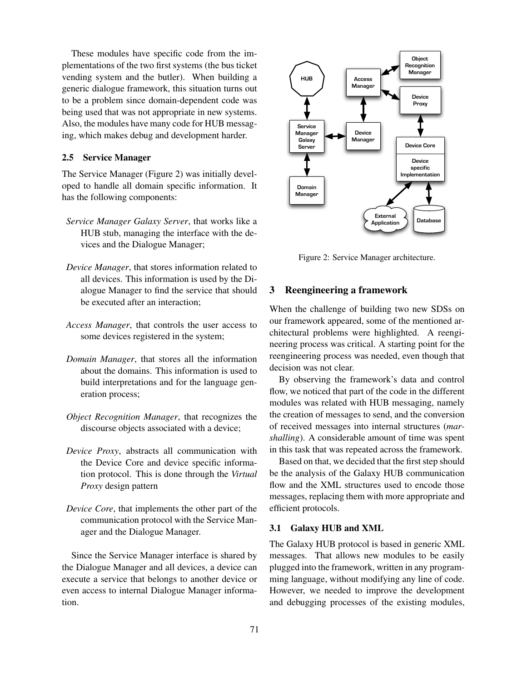These modules have specific code from the implementations of the two first systems (the bus ticket vending system and the butler). When building a generic dialogue framework, this situation turns out to be a problem since domain-dependent code was being used that was not appropriate in new systems. Also, the modules have many code for HUB messaging, which makes debug and development harder.

# 2.5 Service Manager

The Service Manager (Figure 2) was initially developed to handle all domain specific information. It has the following components:

- *Service Manager Galaxy Server*, that works like a HUB stub, managing the interface with the devices and the Dialogue Manager;
- *Device Manager*, that stores information related to all devices. This information is used by the Dialogue Manager to find the service that should be executed after an interaction;
- *Access Manager*, that controls the user access to some devices registered in the system;
- *Domain Manager*, that stores all the information about the domains. This information is used to build interpretations and for the language generation process;
- *Object Recognition Manager*, that recognizes the discourse objects associated with a device;
- *Device Proxy*, abstracts all communication with the Device Core and device specific information protocol. This is done through the *Virtual Proxy* design pattern
- *Device Core*, that implements the other part of the communication protocol with the Service Manager and the Dialogue Manager.

Since the Service Manager interface is shared by the Dialogue Manager and all devices, a device can execute a service that belongs to another device or even access to internal Dialogue Manager information.



Figure 2: Service Manager architecture.

# 3 Reengineering a framework

When the challenge of building two new SDSs on our framework appeared, some of the mentioned architectural problems were highlighted. A reengineering process was critical. A starting point for the reengineering process was needed, even though that decision was not clear.

By observing the framework's data and control flow, we noticed that part of the code in the different modules was related with HUB messaging, namely the creation of messages to send, and the conversion of received messages into internal structures (*marshalling*). A considerable amount of time was spent in this task that was repeated across the framework.

Based on that, we decided that the first step should be the analysis of the Galaxy HUB communication flow and the XML structures used to encode those messages, replacing them with more appropriate and efficient protocols.

#### 3.1 Galaxy HUB and XML

The Galaxy HUB protocol is based in generic XML messages. That allows new modules to be easily plugged into the framework, written in any programming language, without modifying any line of code. However, we needed to improve the development and debugging processes of the existing modules,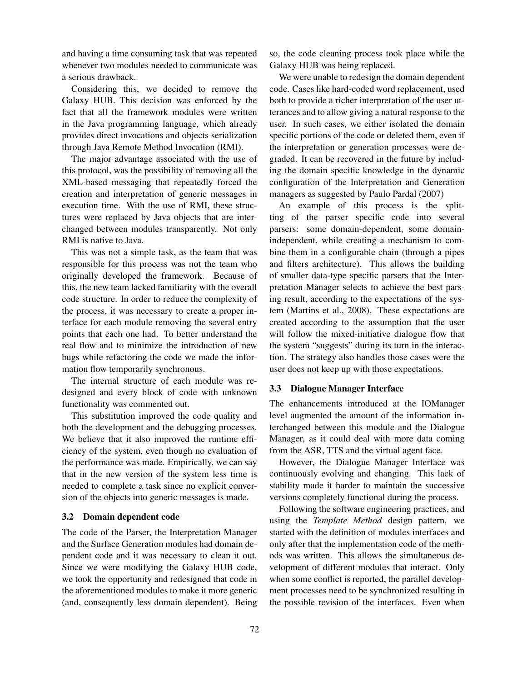and having a time consuming task that was repeated whenever two modules needed to communicate was a serious drawback.

Considering this, we decided to remove the Galaxy HUB. This decision was enforced by the fact that all the framework modules were written in the Java programming language, which already provides direct invocations and objects serialization through Java Remote Method Invocation (RMI).

The major advantage associated with the use of this protocol, was the possibility of removing all the XML-based messaging that repeatedly forced the creation and interpretation of generic messages in execution time. With the use of RMI, these structures were replaced by Java objects that are interchanged between modules transparently. Not only RMI is native to Java.

This was not a simple task, as the team that was responsible for this process was not the team who originally developed the framework. Because of this, the new team lacked familiarity with the overall code structure. In order to reduce the complexity of the process, it was necessary to create a proper interface for each module removing the several entry points that each one had. To better understand the real flow and to minimize the introduction of new bugs while refactoring the code we made the information flow temporarily synchronous.

The internal structure of each module was redesigned and every block of code with unknown functionality was commented out.

This substitution improved the code quality and both the development and the debugging processes. We believe that it also improved the runtime efficiency of the system, even though no evaluation of the performance was made. Empirically, we can say that in the new version of the system less time is needed to complete a task since no explicit conversion of the objects into generic messages is made.

#### 3.2 Domain dependent code

The code of the Parser, the Interpretation Manager and the Surface Generation modules had domain dependent code and it was necessary to clean it out. Since we were modifying the Galaxy HUB code, we took the opportunity and redesigned that code in the aforementioned modules to make it more generic (and, consequently less domain dependent). Being so, the code cleaning process took place while the Galaxy HUB was being replaced.

We were unable to redesign the domain dependent code. Cases like hard-coded word replacement, used both to provide a richer interpretation of the user utterances and to allow giving a natural response to the user. In such cases, we either isolated the domain specific portions of the code or deleted them, even if the interpretation or generation processes were degraded. It can be recovered in the future by including the domain specific knowledge in the dynamic configuration of the Interpretation and Generation managers as suggested by Paulo Pardal (2007)

An example of this process is the splitting of the parser specific code into several parsers: some domain-dependent, some domainindependent, while creating a mechanism to combine them in a configurable chain (through a pipes and filters architecture). This allows the building of smaller data-type specific parsers that the Interpretation Manager selects to achieve the best parsing result, according to the expectations of the system (Martins et al., 2008). These expectations are created according to the assumption that the user will follow the mixed-initiative dialogue flow that the system "suggests" during its turn in the interaction. The strategy also handles those cases were the user does not keep up with those expectations.

#### 3.3 Dialogue Manager Interface

The enhancements introduced at the IOManager level augmented the amount of the information interchanged between this module and the Dialogue Manager, as it could deal with more data coming from the ASR, TTS and the virtual agent face.

However, the Dialogue Manager Interface was continuously evolving and changing. This lack of stability made it harder to maintain the successive versions completely functional during the process.

Following the software engineering practices, and using the *Template Method* design pattern, we started with the definition of modules interfaces and only after that the implementation code of the methods was written. This allows the simultaneous development of different modules that interact. Only when some conflict is reported, the parallel development processes need to be synchronized resulting in the possible revision of the interfaces. Even when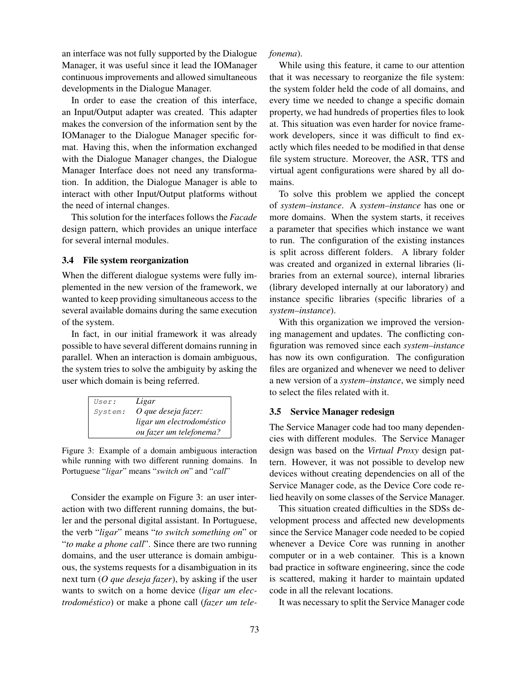an interface was not fully supported by the Dialogue Manager, it was useful since it lead the IOManager continuous improvements and allowed simultaneous developments in the Dialogue Manager.

In order to ease the creation of this interface, an Input/Output adapter was created. This adapter makes the conversion of the information sent by the IOManager to the Dialogue Manager specific format. Having this, when the information exchanged with the Dialogue Manager changes, the Dialogue Manager Interface does not need any transformation. In addition, the Dialogue Manager is able to interact with other Input/Output platforms without the need of internal changes.

This solution for the interfaces follows the *Facade* design pattern, which provides an unique interface for several internal modules.

#### 3.4 File system reorganization

When the different dialogue systems were fully implemented in the new version of the framework, we wanted to keep providing simultaneous access to the several available domains during the same execution of the system.

In fact, in our initial framework it was already possible to have several different domains running in parallel. When an interaction is domain ambiguous, the system tries to solve the ambiguity by asking the user which domain is being referred.

| User:   | Ligar                     |
|---------|---------------------------|
| System: | O que deseja fazer:       |
|         | ligar um electrodoméstico |
|         | ou fazer um telefonema?   |

Figure 3: Example of a domain ambiguous interaction while running with two different running domains. In Portuguese "*ligar*" means "*switch on*" and "*call*"

Consider the example on Figure 3: an user interaction with two different running domains, the butler and the personal digital assistant. In Portuguese, the verb "*ligar*" means "*to switch something on*" or "*to make a phone call*". Since there are two running domains, and the user utterance is domain ambiguous, the systems requests for a disambiguation in its next turn (*O que deseja fazer*), by asking if the user wants to switch on a home device (*ligar um electrodoméstico*) or make a phone call (*fazer um tele-*

#### *fonema*).

While using this feature, it came to our attention that it was necessary to reorganize the file system: the system folder held the code of all domains, and every time we needed to change a specific domain property, we had hundreds of properties files to look at. This situation was even harder for novice framework developers, since it was difficult to find exactly which files needed to be modified in that dense file system structure. Moreover, the ASR, TTS and virtual agent configurations were shared by all domains.

To solve this problem we applied the concept of *system–instance*. A *system–instance* has one or more domains. When the system starts, it receives a parameter that specifies which instance we want to run. The configuration of the existing instances is split across different folders. A library folder was created and organized in external libraries (libraries from an external source), internal libraries (library developed internally at our laboratory) and instance specific libraries (specific libraries of a *system–instance*).

With this organization we improved the versioning management and updates. The conflicting configuration was removed since each *system–instance* has now its own configuration. The configuration files are organized and whenever we need to deliver a new version of a *system–instance*, we simply need to select the files related with it.

#### 3.5 Service Manager redesign

The Service Manager code had too many dependencies with different modules. The Service Manager design was based on the *Virtual Proxy* design pattern. However, it was not possible to develop new devices without creating dependencies on all of the Service Manager code, as the Device Core code relied heavily on some classes of the Service Manager.

This situation created difficulties in the SDSs development process and affected new developments since the Service Manager code needed to be copied whenever a Device Core was running in another computer or in a web container. This is a known bad practice in software engineering, since the code is scattered, making it harder to maintain updated code in all the relevant locations.

It was necessary to split the Service Manager code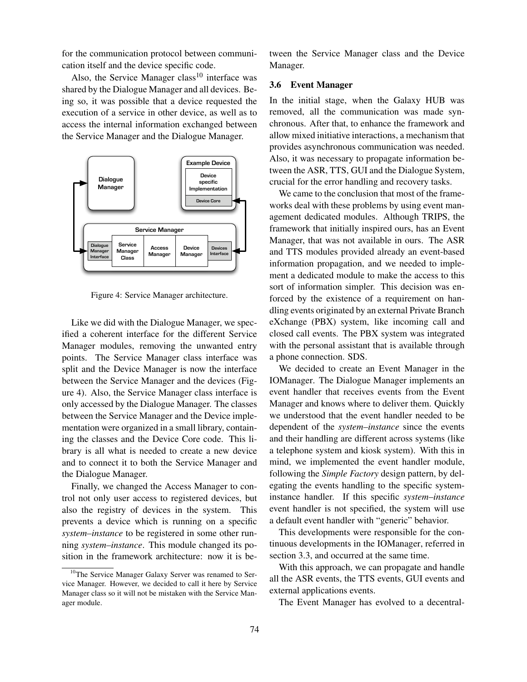for the communication protocol between communication itself and the device specific code.

Also, the Service Manager class<sup>10</sup> interface was shared by the Dialogue Manager and all devices. Being so, it was possible that a device requested the execution of a service in other device, as well as to access the internal information exchanged between the Service Manager and the Dialogue Manager.



Figure 4: Service Manager architecture.

Like we did with the Dialogue Manager, we specified a coherent interface for the different Service Manager modules, removing the unwanted entry points. The Service Manager class interface was split and the Device Manager is now the interface between the Service Manager and the devices (Figure 4). Also, the Service Manager class interface is only accessed by the Dialogue Manager. The classes between the Service Manager and the Device implementation were organized in a small library, containing the classes and the Device Core code. This library is all what is needed to create a new device and to connect it to both the Service Manager and the Dialogue Manager.

Finally, we changed the Access Manager to control not only user access to registered devices, but also the registry of devices in the system. This prevents a device which is running on a specific *system–instance* to be registered in some other running *system–instance*. This module changed its position in the framework architecture: now it is between the Service Manager class and the Device Manager.

#### 3.6 Event Manager

In the initial stage, when the Galaxy HUB was removed, all the communication was made synchronous. After that, to enhance the framework and allow mixed initiative interactions, a mechanism that provides asynchronous communication was needed. Also, it was necessary to propagate information between the ASR, TTS, GUI and the Dialogue System, crucial for the error handling and recovery tasks.

We came to the conclusion that most of the frameworks deal with these problems by using event management dedicated modules. Although TRIPS, the framework that initially inspired ours, has an Event Manager, that was not available in ours. The ASR and TTS modules provided already an event-based information propagation, and we needed to implement a dedicated module to make the access to this sort of information simpler. This decision was enforced by the existence of a requirement on handling events originated by an external Private Branch eXchange (PBX) system, like incoming call and closed call events. The PBX system was integrated with the personal assistant that is available through a phone connection. SDS.

We decided to create an Event Manager in the IOManager. The Dialogue Manager implements an event handler that receives events from the Event Manager and knows where to deliver them. Quickly we understood that the event handler needed to be dependent of the *system–instance* since the events and their handling are different across systems (like a telephone system and kiosk system). With this in mind, we implemented the event handler module, following the *Simple Factory* design pattern, by delegating the events handling to the specific systeminstance handler. If this specific *system–instance* event handler is not specified, the system will use a default event handler with "generic" behavior.

This developments were responsible for the continuous developments in the IOManager, referred in section 3.3, and occurred at the same time.

With this approach, we can propagate and handle all the ASR events, the TTS events, GUI events and external applications events.

The Event Manager has evolved to a decentral-

<sup>&</sup>lt;sup>10</sup>The Service Manager Galaxy Server was renamed to Service Manager. However, we decided to call it here by Service Manager class so it will not be mistaken with the Service Manager module.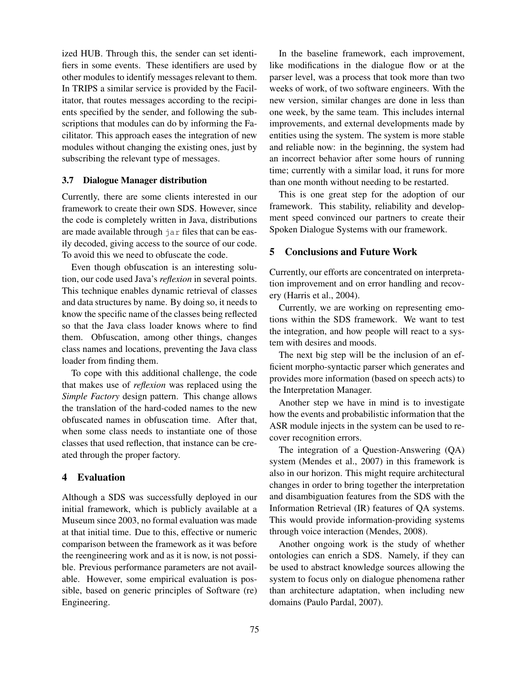ized HUB. Through this, the sender can set identifiers in some events. These identifiers are used by other modules to identify messages relevant to them. In TRIPS a similar service is provided by the Facilitator, that routes messages according to the recipients specified by the sender, and following the subscriptions that modules can do by informing the Facilitator. This approach eases the integration of new modules without changing the existing ones, just by subscribing the relevant type of messages.

### 3.7 Dialogue Manager distribution

Currently, there are some clients interested in our framework to create their own SDS. However, since the code is completely written in Java, distributions are made available through jar files that can be easily decoded, giving access to the source of our code. To avoid this we need to obfuscate the code.

Even though obfuscation is an interesting solution, our code used Java's *reflexion* in several points. This technique enables dynamic retrieval of classes and data structures by name. By doing so, it needs to know the specific name of the classes being reflected so that the Java class loader knows where to find them. Obfuscation, among other things, changes class names and locations, preventing the Java class loader from finding them.

To cope with this additional challenge, the code that makes use of *reflexion* was replaced using the *Simple Factory* design pattern. This change allows the translation of the hard-coded names to the new obfuscated names in obfuscation time. After that, when some class needs to instantiate one of those classes that used reflection, that instance can be created through the proper factory.

#### 4 Evaluation

Although a SDS was successfully deployed in our initial framework, which is publicly available at a Museum since 2003, no formal evaluation was made at that initial time. Due to this, effective or numeric comparison between the framework as it was before the reengineering work and as it is now, is not possible. Previous performance parameters are not available. However, some empirical evaluation is possible, based on generic principles of Software (re) Engineering.

In the baseline framework, each improvement, like modifications in the dialogue flow or at the parser level, was a process that took more than two weeks of work, of two software engineers. With the new version, similar changes are done in less than one week, by the same team. This includes internal improvements, and external developments made by entities using the system. The system is more stable and reliable now: in the beginning, the system had an incorrect behavior after some hours of running time; currently with a similar load, it runs for more than one month without needing to be restarted.

This is one great step for the adoption of our framework. This stability, reliability and development speed convinced our partners to create their Spoken Dialogue Systems with our framework.

# 5 Conclusions and Future Work

Currently, our efforts are concentrated on interpretation improvement and on error handling and recovery (Harris et al., 2004).

Currently, we are working on representing emotions within the SDS framework. We want to test the integration, and how people will react to a system with desires and moods.

The next big step will be the inclusion of an efficient morpho-syntactic parser which generates and provides more information (based on speech acts) to the Interpretation Manager.

Another step we have in mind is to investigate how the events and probabilistic information that the ASR module injects in the system can be used to recover recognition errors.

The integration of a Question-Answering (QA) system (Mendes et al., 2007) in this framework is also in our horizon. This might require architectural changes in order to bring together the interpretation and disambiguation features from the SDS with the Information Retrieval (IR) features of QA systems. This would provide information-providing systems through voice interaction (Mendes, 2008).

Another ongoing work is the study of whether ontologies can enrich a SDS. Namely, if they can be used to abstract knowledge sources allowing the system to focus only on dialogue phenomena rather than architecture adaptation, when including new domains (Paulo Pardal, 2007).